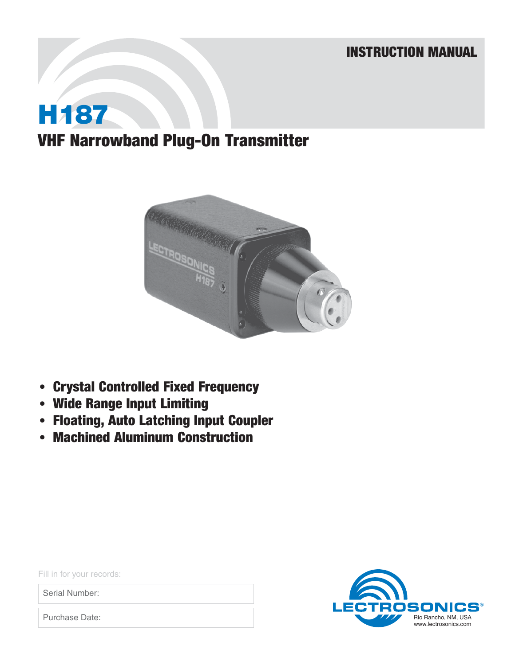## INSTRUCTION MANUAL

# **H187** VHF Narrowband Plug-On Transmitter



- Crystal Controlled Fixed Frequency
- Wide Range Input Limiting
- Floating, Auto Latching Input Coupler
- Machined Aluminum Construction

osoni LEC  $\mathbf{CS}^\circ$ Rio Rancho, NM, USA www.lectrosonics.com

Fill in for your records:

Serial Number:

Purchase Date: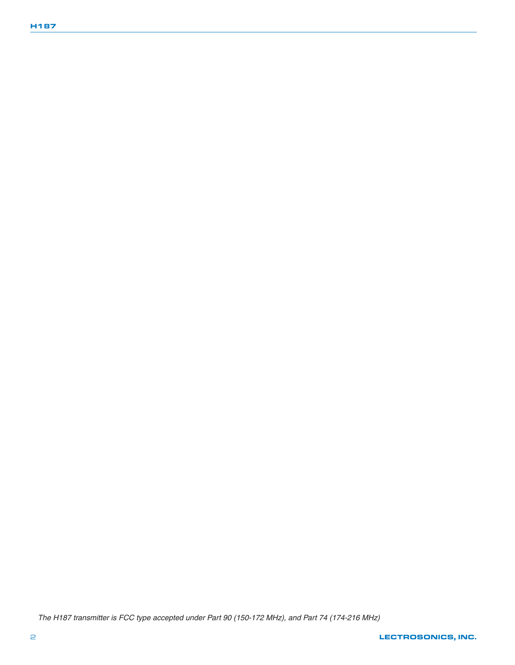The H187 transmitter is FCC type accepted under Part 90 (150-172 MHz), and Part 74 (174-216 MHz)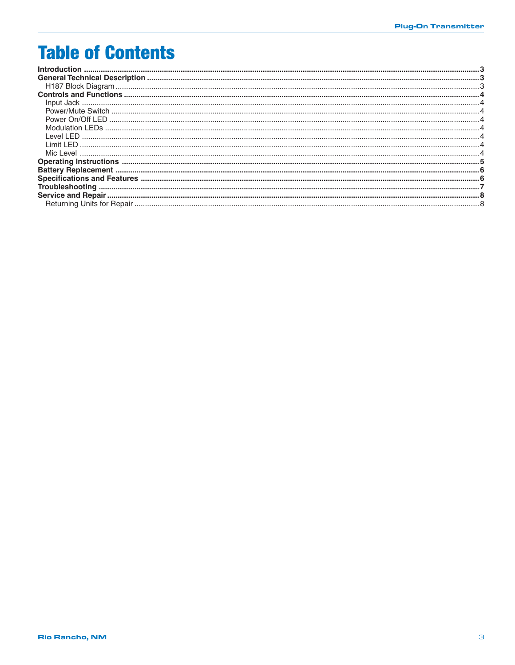## **Table of Contents**

| LeveLLED     |  |
|--------------|--|
| I imit I FD. |  |
|              |  |
|              |  |
|              |  |
|              |  |
|              |  |
|              |  |
|              |  |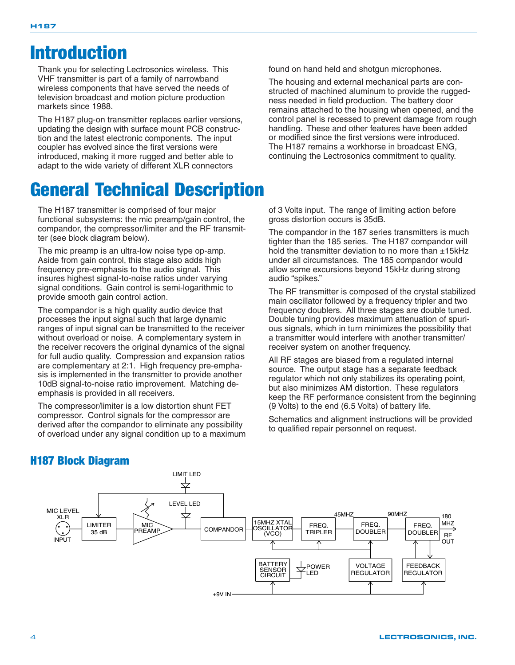## Introduction

Thank you for selecting Lectrosonics wireless. This VHF transmitter is part of a family of narrowband wireless components that have served the needs of television broadcast and motion picture production markets since 1988.

The H187 plug-on transmitter replaces earlier versions, updating the design with surface mount PCB construction and the latest electronic components. The input coupler has evolved since the first versions were introduced, making it more rugged and better able to adapt to the wide variety of different XLR connectors

## General Technical Description

The H187 transmitter is comprised of four major functional subsystems: the mic preamp/gain control, the compandor, the compressor/limiter and the RF transmitter (see block diagram below).

The mic preamp is an ultra-low noise type op-amp. Aside from gain control, this stage also adds high frequency pre-emphasis to the audio signal. This insures highest signal-to-noise ratios under varying signal conditions. Gain control is semi-logarithmic to provide smooth gain control action.

The compandor is a high quality audio device that processes the input signal such that large dynamic ranges of input signal can be transmitted to the receiver without overload or noise. A complementary system in the receiver recovers the original dynamics of the signal for full audio quality. Compression and expansion ratios are complementary at 2:1. High frequency pre-emphasis is implemented in the transmitter to provide another 10dB signal-to-noise ratio improvement. Matching deemphasis is provided in all receivers.

The compressor/limiter is a low distortion shunt FET compressor. Control signals for the compressor are derived after the compandor to eliminate any possibility of overload under any signal condition up to a maximum found on hand held and shotgun microphones.

The housing and external mechanical parts are constructed of machined aluminum to provide the ruggedness needed in field production. The battery door remains attached to the housing when opened, and the control panel is recessed to prevent damage from rough handling. These and other features have been added or modified since the first versions were introduced. The H187 remains a workhorse in broadcast ENG, continuing the Lectrosonics commitment to quality.

of 3 Volts input. The range of limiting action before gross distortion occurs is 35dB.

The compandor in the 187 series transmitters is much tighter than the 185 series. The H187 compandor will hold the transmitter deviation to no more than  $±15$ kHz under all circumstances. The 185 compandor would allow some excursions beyond 15kHz during strong audio "spikes."

The RF transmitter is composed of the crystal stabilized main oscillator followed by a frequency tripler and two frequency doublers. All three stages are double tuned. Double tuning provides maximum attenuation of spurious signals, which in turn minimizes the possibility that a transmitter would interfere with another transmitter/ receiver system on another frequency.

All RF stages are biased from a regulated internal source. The output stage has a separate feedback regulator which not only stabilizes its operating point, but also minimizes AM distortion. These regulators keep the RF performance consistent from the beginning (9 Volts) to the end (6.5 Volts) of battery life.

Schematics and alignment instructions will be provided to qualified repair personnel on request.



## H187 Block Diagram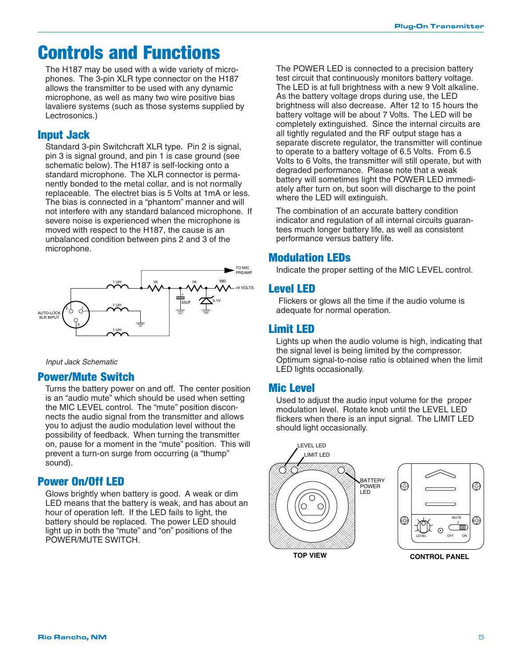## Controls and Functions

The H187 may be used with a wide variety of microphones. The 3-pin XLR type connector on the H187 allows the transmitter to be used with any dynamic microphone, as well as many two wire positive bias lavaliere systems (such as those systems supplied by Lectrosonics.)

### Input Jack

Standard 3-pin Switchcraft XLR type. Pin 2 is signal, pin 3 is signal ground, and pin 1 is case ground (see schematic below). The H187 is self-locking onto a standard microphone. The XLR connector is permanently bonded to the metal collar, and is not normally replaceable. The electret bias is 5 Volts at 1mA or less. The bias is connected in a "phantom" manner and will not interfere with any standard balanced microphone. If severe noise is experienced when the microphone is moved with respect to the H187, the cause is an unbalanced condition between pins 2 and 3 of the microphone.



Input Jack Schematic

#### Power/Mute Switch

Turns the battery power on and off. The center position is an "audio mute" which should be used when setting the MIC LEVEL control. The "mute" position disconnects the audio signal from the transmitter and allows you to adjust the audio modulation level without the possibility of feedback. When turning the transmitter on, pause for a moment in the "mute" position. This will prevent a turn-on surge from occurring (a "thump" sound).

#### Power On/Off LED

Glows brightly when battery is good. A weak or dim LED means that the battery is weak, and has about an hour of operation left. If the LED fails to light, the battery should be replaced. The power LED should light up in both the "mute" and "on" positions of the POWER/MUTE SWITCH.

The POWER LED is connected to a precision battery test circuit that continuously monitors battery voltage. The LED is at full brightness with a new 9 Volt alkaline. As the battery voltage drops during use, the LED brightness will also decrease. After 12 to 15 hours the battery voltage will be about 7 Volts. The LED will be completely extinguished. Since the internal circuits are all tightly regulated and the RF output stage has a separate discrete regulator, the transmitter will continue to operate to a battery voltage of 6.5 Volts. From 6.5 Volts to 6 Volts, the transmitter will still operate, but with degraded performance. Please note that a weak battery will sometimes light the POWER LED immediately after turn on, but soon will discharge to the point where the LED will extinguish.

The combination of an accurate battery condition indicator and regulation of all internal circuits guarantees much longer battery life, as well as consistent performance versus battery life.

### Modulation LEDs

Indicate the proper setting of the MIC LEVEL control.

#### Level LED

 Flickers or glows all the time if the audio volume is adequate for normal operation.

#### Limit LED

Lights up when the audio volume is high, indicating that the signal level is being limited by the compressor. Optimum signal-to-noise ratio is obtained when the limit LED lights occasionally.

#### Mic Level

Used to adjust the audio input volume for the proper modulation level. Rotate knob until the LEVEL LED flickers when there is an input signal. The LIMIT LED should light occasionally.

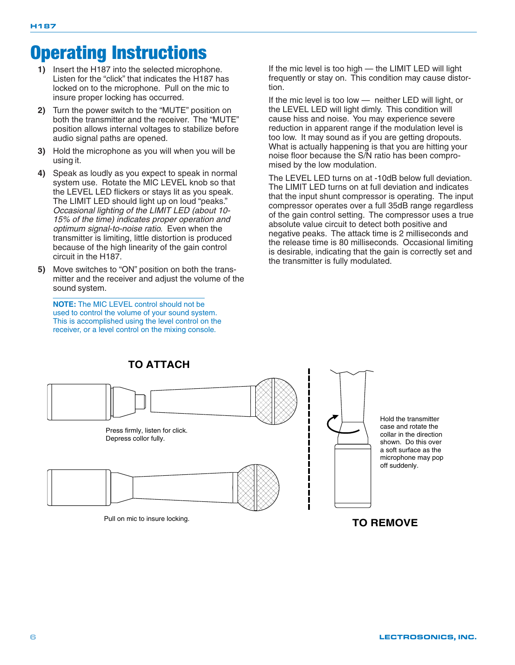## Operating Instructions

- **1)** Insert the H187 into the selected microphone. Listen for the "click" that indicates the H187 has locked on to the microphone. Pull on the mic to insure proper locking has occurred.
- **2)** Turn the power switch to the "MUTE" position on both the transmitter and the receiver. The "MUTE" position allows internal voltages to stabilize before audio signal paths are opened.
- **3)** Hold the microphone as you will when you will be using it.
- **4)** Speak as loudly as you expect to speak in normal system use. Rotate the MIC LEVEL knob so that the LEVEL LED flickers or stays lit as you speak. The LIMIT LED should light up on loud "peaks." Occasional lighting of the LIMIT LED (about 10- 15% of the time) indicates proper operation and optimum signal-to-noise ratio. Even when the transmitter is limiting, little distortion is produced because of the high linearity of the gain control circuit in the H187.
- **5)** Move switches to "ON" position on both the transmitter and the receiver and adjust the volume of the sound system.

**NOTE:** The MIC LEVEL control should not be used to control the volume of your sound system. This is accomplished using the level control on the receiver, or a level control on the mixing console.

If the mic level is too high — the LIMIT LED will light frequently or stay on. This condition may cause distortion.

If the mic level is too low — neither LED will light, or the LEVEL LED will light dimly. This condition will cause hiss and noise. You may experience severe reduction in apparent range if the modulation level is too low. It may sound as if you are getting dropouts. What is actually happening is that you are hitting your noise floor because the S/N ratio has been compromised by the low modulation.

The LEVEL LED turns on at -10dB below full deviation. The LIMIT LED turns on at full deviation and indicates that the input shunt compressor is operating. The input compressor operates over a full 35dB range regardless of the gain control setting. The compressor uses a true absolute value circuit to detect both positive and negative peaks. The attack time is 2 milliseconds and the release time is 80 milliseconds. Occasional limiting is desirable, indicating that the gain is correctly set and the transmitter is fully modulated.



#### 6 LECTROSONICS, INC.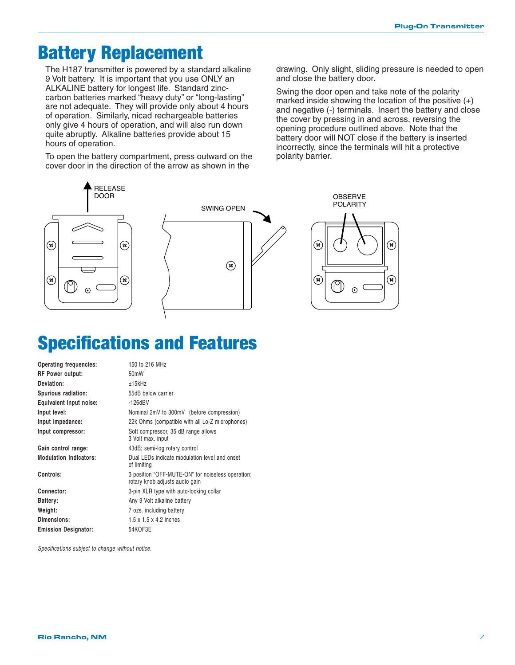## Battery Replacement

The H187 transmitter is powered by a standard alkaline 9 Volt battery. It is important that you use ONLY an ALKALINE battery for longest life. Standard zinccarbon batteries marked "heavy duty" or "long-lasting" are not adequate. They will provide only about 4 hours of operation. Similarly, nicad rechargeable batteries only give 4 hours of operation, and will also run down quite abruptly. Alkaline batteries provide about 15 hours of operation.

To open the battery compartment, press outward on the cover door in the direction of the arrow as shown in the

drawing. Only slight, sliding pressure is needed to open and close the battery door.

Swing the door open and take note of the polarity marked inside showing the location of the positive (+) and negative (-) terminals. Insert the battery and close the cover by pressing in and across, reversing the opening procedure outlined above. Note that the battery door will NOT close if the battery is inserted incorrectly, since the terminals will hit a protective polarity barrier.



## Specifications and Features

| Operating frequencies:        | 150 to 216 MHz                                                                      |
|-------------------------------|-------------------------------------------------------------------------------------|
| <b>RF Power output:</b>       | 50 <sub>m</sub> W                                                                   |
| Deviation:                    | ±15kHz                                                                              |
| Spurious radiation:           | 55dB below carrier                                                                  |
| Equivalent input noise:       | $-126dBV$                                                                           |
| Input level:                  | Nominal 2mV to 300mV (before compression)                                           |
| Input impedance:              | 22k Ohms (compatible with all Lo-Z microphones)                                     |
| Input compressor:             | Soft compressor, 35 dB range allows<br>3 Volt max. input                            |
| Gain control range:           | 43dB; semi-log rotary control                                                       |
| <b>Modulation indicators:</b> | Dual LEDs indicate modulation level and onset<br>of limiting                        |
| Controls:                     | 3 position "OFF-MUTE-ON" for noiseless operation;<br>rotary knob adjusts audio gain |
| Connector:                    | 3-pin XLR type with auto-locking collar                                             |
| Battery:                      | Any 9 Volt alkaline battery                                                         |
| Weight:                       | 7 ozs. including battery                                                            |
| Dimensions:                   | $1.5 \times 1.5 \times 4.2$ inches                                                  |
| <b>Emission Designator:</b>   | 54KOF3E                                                                             |

*Specifications subject to change without notice.*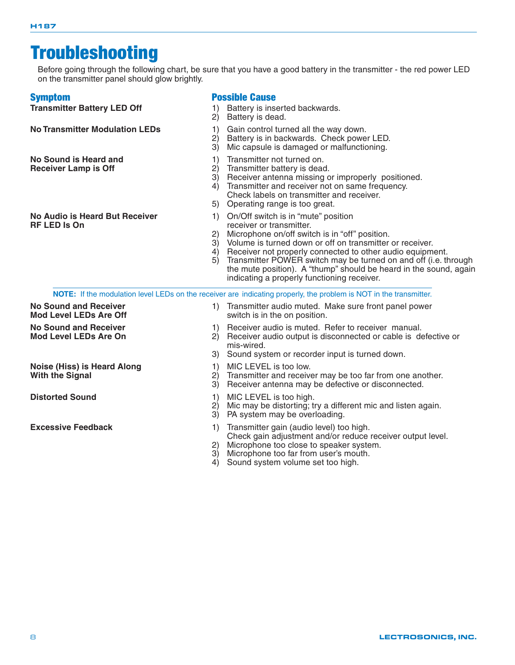## **Troubleshooting**

Before going through the following chart, be sure that you have a good battery in the transmitter - the red power LED on the transmitter panel should glow brightly.

**No Sound is Heard and 1)** Transmitter not turned on.<br> **Receiver Lamp is Off** 2) Transmitter battery is dead

#### Symptom **Possible Cause**

**Transmitter Battery LED Off** 1) Battery is inserted backwards.

- 2) Battery is dead.
- **No Transmitter Modulation LEDs** 1) Gain control turned all the way down.<br>2) Battery is in backwards. Check powe
	- Battery is in backwards. Check power LED.
	- 3) Mic capsule is damaged or malfunctioning.
	-
	- 2) Transmitter battery is dead.<br>3) Receiver antenna missing o
	- 3) Receiver antenna missing or improperly positioned.<br>4) Transmitter and receiver not on same frequency.
	- 4) Transmitter and receiver not on same frequency.
	- Check labels on transmitter and receiver.
	- 5) Operating range is too great.
- **No Audio is Heard But Receiver** 1) On/Off switch is in "mute" position<br>**RF LED Is On**<br>receiver or transmitter.
	- receiver or transmitter.<br>2) Microphone on/off swit 2) Microphone on/off switch is in "off" position.<br>3) Volume is turned down or off on transmitter
	- 3) Volume is turned down or off on transmitter or receiver.<br>4) Receiver not properly connected to other audio equipm
	- 4) Receiver not properly connected to other audio equipment.<br>5) Transmitter POWER switch may be turned on and off (i.e. the
	- Transmitter POWER switch may be turned on and off (i.e. through the mute position). A "thump" should be heard in the sound, again indicating a properly functioning receiver.

**NOTE:** If the modulation level LEDs on the receiver are indicating properly, the problem is NOT in the transmitter. **No Sound and Receiver** 1) Transmitter audio muted. Make sure front panel power<br>**Mod Level LEDs Are Off** switch is in the on position. switch is in the on position.

- **No Sound and Receiver** 1) Receiver audio is muted. Refer to receiver manual.<br>**Mod Level LEDs Are On** 2) Receiver audio output is disconnected or cable is de
	- Receiver audio output is disconnected or cable is defective or mis-wired.
	- 3) Sound system or recorder input is turned down.
- **Noise (Hiss) is Heard Along** 1) MIC LEVEL is too low.<br>**With the Signal** 1999 (2) Transmitter and receive
	- Transmitter and receiver may be too far from one another.
	- 3) Receiver antenna may be defective or disconnected.
- **Distorted Sound** 2008 2009 10 MIC LEVEL is too high.
	- 2) Mic may be distorting; try a different mic and listen again.
	- 3) PA system may be overloading.
- **Excessive Feedback** 1) Transmitter gain (audio level) too high. Check gain adjustment and/or reduce receiver output level.
	- 2) Microphone too close to speaker system.
	- 3) Microphone too far from user's mouth.
	- 4) Sound system volume set too high.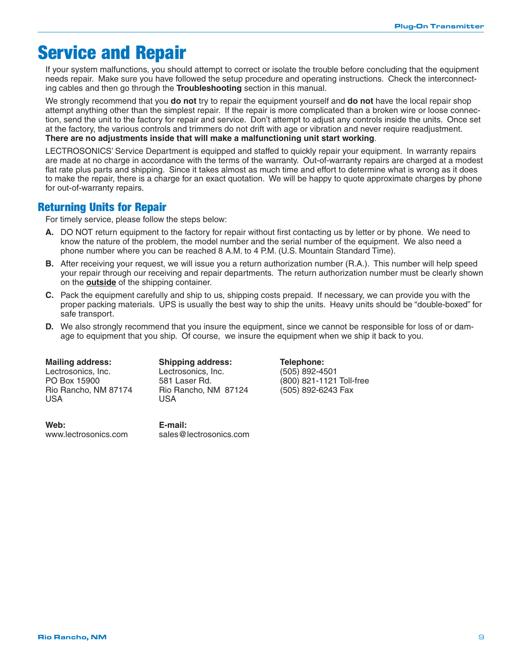## Service and Repair

If your system malfunctions, you should attempt to correct or isolate the trouble before concluding that the equipment needs repair. Make sure you have followed the setup procedure and operating instructions. Check the interconnecting cables and then go through the **Troubleshooting** section in this manual.

We strongly recommend that you **do not** try to repair the equipment yourself and **do not** have the local repair shop attempt anything other than the simplest repair. If the repair is more complicated than a broken wire or loose connection, send the unit to the factory for repair and service. Don't attempt to adjust any controls inside the units. Once set at the factory, the various controls and trimmers do not drift with age or vibration and never require readjustment. **There are no adjustments inside that will make a malfunctioning unit start working**.

LECTROSONICS' Service Department is equipped and staffed to quickly repair your equipment. In warranty repairs are made at no charge in accordance with the terms of the warranty. Out-of-warranty repairs are charged at a modest flat rate plus parts and shipping. Since it takes almost as much time and effort to determine what is wrong as it does to make the repair, there is a charge for an exact quotation. We will be happy to quote approximate charges by phone for out-of-warranty repairs.

### Returning Units for Repair

For timely service, please follow the steps below:

- **A.** DO NOT return equipment to the factory for repair without first contacting us by letter or by phone. We need to know the nature of the problem, the model number and the serial number of the equipment. We also need a phone number where you can be reached 8 A.M. to 4 P.M. (U.S. Mountain Standard Time).
- **B.** After receiving your request, we will issue you a return authorization number (R.A.). This number will help speed your repair through our receiving and repair departments. The return authorization number must be clearly shown on the **outside** of the shipping container.
- **C.** Pack the equipment carefully and ship to us, shipping costs prepaid. If necessary, we can provide you with the proper packing materials. UPS is usually the best way to ship the units. Heavy units should be "double-boxed" for safe transport.
- **D.** We also strongly recommend that you insure the equipment, since we cannot be responsible for loss of or damage to equipment that you ship. Of course, we insure the equipment when we ship it back to you.

USA USA

**Web: E-mail:** www.lectrosonics.com sales@lectrosonics.com

**Mailing address: Shipping address: Telephone:**<br>
Lectrosonics Inc. Lectrosonics Inc. (505) 892-49 Lectrosonics, Inc. Lectrosonics, Inc. (505) 892-4501 Rio Rancho, NM 87174 Rio Rancho, NM 87124 (505) 892-6243 Fax

 $(800)$  821-1121 Toll-free